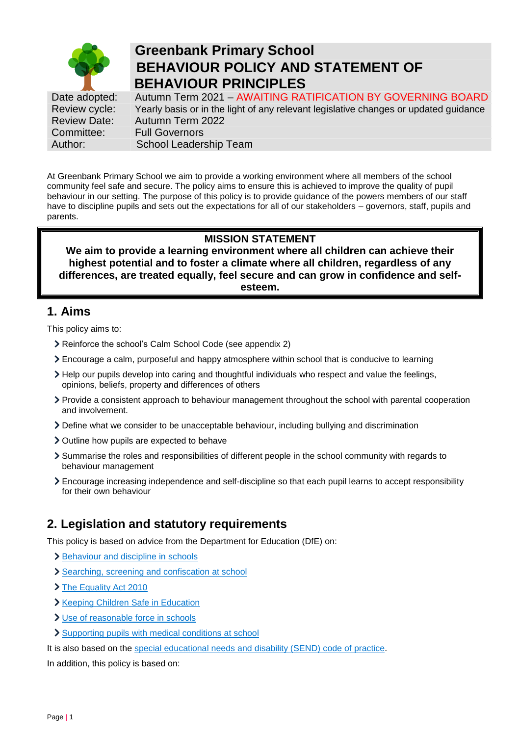

# **Greenbank Primary School BEHAVIOUR POLICY AND STATEMENT OF BEHAVIOUR PRINCIPLES**

Date adopted: Autumn Term 2021 - AWAITING RATIFICATION BY GOVERNING BOARD Review cycle: Yearly basis or in the light of any relevant legislative changes or updated guidance<br>Review Date: Autumn Term 2022 Review Date: Autumn Term 2022 Committee: Full Governors Author: School Leadership Team

At Greenbank Primary School we aim to provide a working environment where all members of the school community feel safe and secure. The policy aims to ensure this is achieved to improve the quality of pupil behaviour in our setting. The purpose of this policy is to provide guidance of the powers members of our staff have to discipline pupils and sets out the expectations for all of our stakeholders – governors, staff, pupils and parents.

## **MISSION STATEMENT**

**We aim to provide a learning environment where all children can achieve their highest potential and to foster a climate where all children, regardless of any differences, are treated equally, feel secure and can grow in confidence and selfesteem.**

## **1. Aims**

This policy aims to:

- Reinforce the school's Calm School Code (see appendix 2)
- Encourage a calm, purposeful and happy atmosphere within school that is conducive to learning
- Help our pupils develop into caring and thoughtful individuals who respect and value the feelings, opinions, beliefs, property and differences of others
- Provide a consistent approach to behaviour management throughout the school with parental cooperation and involvement.
- Define what we consider to be unacceptable behaviour, including bullying and discrimination
- Outline how pupils are expected to behave
- Summarise the roles and responsibilities of different people in the school community with regards to behaviour management
- Encourage increasing independence and self-discipline so that each pupil learns to accept responsibility for their own behaviour

## **2. Legislation and statutory requirements**

This policy is based on advice from the Department for Education (DfE) on:

- > [Behaviour and discipline in schools](https://www.gov.uk/government/publications/behaviour-and-discipline-in-schools)
- [Searching, screening and confiscation at school](https://www.gov.uk/government/publications/searching-screening-and-confiscation)
- > [The Equality Act 2010](https://www.gov.uk/government/publications/equality-act-2010-advice-for-schools)
- **X** [Keeping Children Safe in Education](https://www.gov.uk/government/publications/keeping-children-safe-in-education--2)
- > [Use of reasonable force in schools](https://www.gov.uk/government/publications/use-of-reasonable-force-in-schools)
- > [Supporting pupils with medical conditions at school](https://www.gov.uk/government/publications/supporting-pupils-at-school-with-medical-conditions--3)

It is also based on the [special educational needs and disability \(SEND\) code of practice.](https://www.gov.uk/government/publications/send-code-of-practice-0-to-25)

In addition, this policy is based on: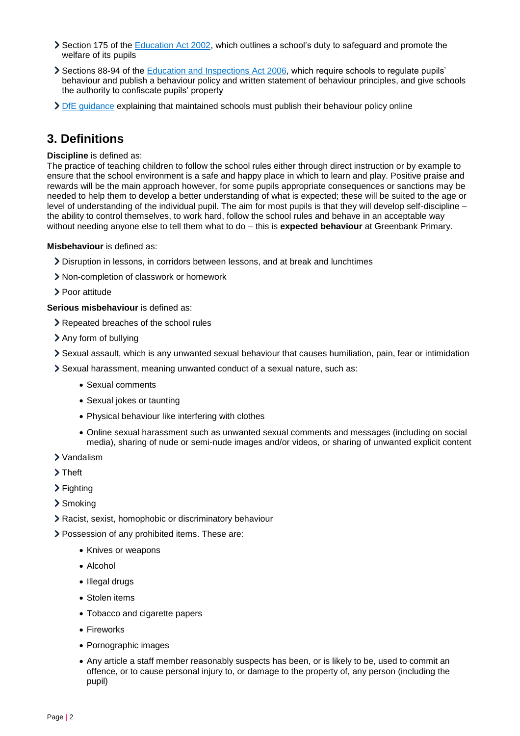- Section 175 of the [Education Act 2002,](http://www.legislation.gov.uk/ukpga/2002/32/section/175) which outlines a school's duty to safeguard and promote the welfare of its pupils
- Sections 88-94 of the [Education and Inspections Act 2006,](http://www.legislation.gov.uk/ukpga/2006/40/section/88) which require schools to regulate pupils' behaviour and publish a behaviour policy and written statement of behaviour principles, and give schools the authority to confiscate pupils' property
- [DfE guidance](https://www.gov.uk/guidance/what-maintained-schools-must-publish-online#behaviour-policy) explaining that maintained schools must publish their behaviour policy online

## **3. Definitions**

#### **Discipline** is defined as:

The practice of teaching children to follow the school rules either through direct instruction or by example to ensure that the school environment is a safe and happy place in which to learn and play. Positive praise and rewards will be the main approach however, for some pupils appropriate consequences or sanctions may be needed to help them to develop a better understanding of what is expected; these will be suited to the age or level of understanding of the individual pupil. The aim for most pupils is that they will develop self-discipline – the ability to control themselves, to work hard, follow the school rules and behave in an acceptable way without needing anyone else to tell them what to do – this is **expected behaviour** at Greenbank Primary.

#### **Misbehaviour** is defined as:

- Disruption in lessons, in corridors between lessons, and at break and lunchtimes
- Non-completion of classwork or homework
- > Poor attitude

**Serious misbehaviour** is defined as:

- > Repeated breaches of the school rules
- Any form of bullying
- Sexual assault, which is any unwanted sexual behaviour that causes humiliation, pain, fear or intimidation
- Sexual harassment, meaning unwanted conduct of a sexual nature, such as:
	- Sexual comments
	- Sexual jokes or taunting
	- Physical behaviour like interfering with clothes
	- Online sexual harassment such as unwanted sexual comments and messages (including on social media), sharing of nude or semi-nude images and/or videos, or sharing of unwanted explicit content
- Vandalism
- > Theft
- > Fighting
- > Smoking
- Racist, sexist, homophobic or discriminatory behaviour
- Possession of any prohibited items. These are:
	- Knives or weapons
	- Alcohol
	- Illegal drugs
	- Stolen items
	- Tobacco and cigarette papers
	- Fireworks
	- Pornographic images
	- Any article a staff member reasonably suspects has been, or is likely to be, used to commit an offence, or to cause personal injury to, or damage to the property of, any person (including the pupil)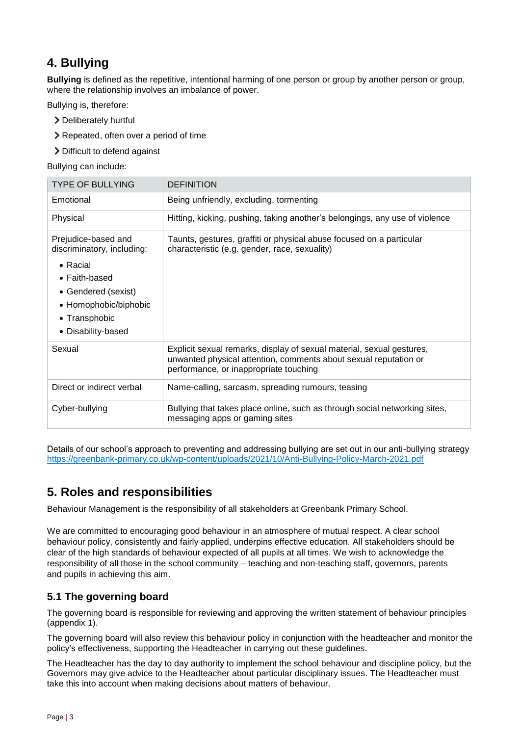# **4. Bullying**

**Bullying** is defined as the repetitive, intentional harming of one person or group by another person or group, where the relationship involves an imbalance of power.

Bullying is, therefore:

- Deliberately hurtful
- **Exercise** > Repeated, often over a period of time
- > Difficult to defend against

Bullying can include:

| <b>TYPE OF BULLYING</b>                                                                                                                                                               | <b>DEFINITION</b>                                                                                                                                                                   |
|---------------------------------------------------------------------------------------------------------------------------------------------------------------------------------------|-------------------------------------------------------------------------------------------------------------------------------------------------------------------------------------|
| Emotional                                                                                                                                                                             | Being unfriendly, excluding, tormenting                                                                                                                                             |
| Physical                                                                                                                                                                              | Hitting, kicking, pushing, taking another's belongings, any use of violence                                                                                                         |
| Prejudice-based and<br>discriminatory, including:<br>$\bullet$ Racial<br>$\bullet$ Faith-based<br>• Gendered (sexist)<br>• Homophobic/biphobic<br>• Transphobic<br>• Disability-based | Taunts, gestures, graffiti or physical abuse focused on a particular<br>characteristic (e.g. gender, race, sexuality)                                                               |
| Sexual                                                                                                                                                                                | Explicit sexual remarks, display of sexual material, sexual gestures,<br>unwanted physical attention, comments about sexual reputation or<br>performance, or inappropriate touching |
| Direct or indirect verbal                                                                                                                                                             | Name-calling, sarcasm, spreading rumours, teasing                                                                                                                                   |
| Cyber-bullying                                                                                                                                                                        | Bullying that takes place online, such as through social networking sites,<br>messaging apps or gaming sites                                                                        |

Details of our school's approach to preventing and addressing bullying are set out in our anti-bullying strategy <https://greenbank-primary.co.uk/wp-content/uploads/2021/10/Anti-Bullying-Policy-March-2021.pdf>

# **5. Roles and responsibilities**

Behaviour Management is the responsibility of all stakeholders at Greenbank Primary School.

We are committed to encouraging good behaviour in an atmosphere of mutual respect. A clear school behaviour policy, consistently and fairly applied, underpins effective education. All stakeholders should be clear of the high standards of behaviour expected of all pupils at all times. We wish to acknowledge the responsibility of all those in the school community – teaching and non-teaching staff, governors, parents and pupils in achieving this aim.

### **5.1 The governing board**

The governing board is responsible for reviewing and approving the written statement of behaviour principles (appendix 1).

The governing board will also review this behaviour policy in conjunction with the headteacher and monitor the policy's effectiveness, supporting the Headteacher in carrying out these guidelines.

The Headteacher has the day to day authority to implement the school behaviour and discipline policy, but the Governors may give advice to the Headteacher about particular disciplinary issues. The Headteacher must take this into account when making decisions about matters of behaviour.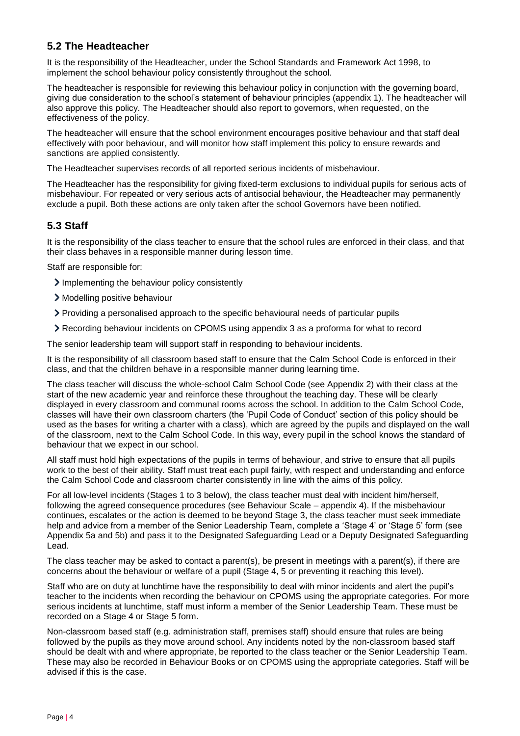#### **5.2 The Headteacher**

It is the responsibility of the Headteacher, under the School Standards and Framework Act 1998, to implement the school behaviour policy consistently throughout the school.

The headteacher is responsible for reviewing this behaviour policy in conjunction with the governing board, giving due consideration to the school's statement of behaviour principles (appendix 1). The headteacher will also approve this policy. The Headteacher should also report to governors, when requested, on the effectiveness of the policy.

The headteacher will ensure that the school environment encourages positive behaviour and that staff deal effectively with poor behaviour, and will monitor how staff implement this policy to ensure rewards and sanctions are applied consistently.

The Headteacher supervises records of all reported serious incidents of misbehaviour.

The Headteacher has the responsibility for giving fixed-term exclusions to individual pupils for serious acts of misbehaviour. For repeated or very serious acts of antisocial behaviour, the Headteacher may permanently exclude a pupil. Both these actions are only taken after the school Governors have been notified.

#### **5.3 Staff**

It is the responsibility of the class teacher to ensure that the school rules are enforced in their class, and that their class behaves in a responsible manner during lesson time.

Staff are responsible for:

- Implementing the behaviour policy consistently
- > Modelling positive behaviour
- Providing a personalised approach to the specific behavioural needs of particular pupils
- Recording behaviour incidents on CPOMS using appendix 3 as a proforma for what to record

The senior leadership team will support staff in responding to behaviour incidents.

It is the responsibility of all classroom based staff to ensure that the Calm School Code is enforced in their class, and that the children behave in a responsible manner during learning time.

The class teacher will discuss the whole-school Calm School Code (see Appendix 2) with their class at the start of the new academic year and reinforce these throughout the teaching day. These will be clearly displayed in every classroom and communal rooms across the school. In addition to the Calm School Code, classes will have their own classroom charters (the 'Pupil Code of Conduct' section of this policy should be used as the bases for writing a charter with a class), which are agreed by the pupils and displayed on the wall of the classroom, next to the Calm School Code. In this way, every pupil in the school knows the standard of behaviour that we expect in our school.

All staff must hold high expectations of the pupils in terms of behaviour, and strive to ensure that all pupils work to the best of their ability. Staff must treat each pupil fairly, with respect and understanding and enforce the Calm School Code and classroom charter consistently in line with the aims of this policy.

For all low-level incidents (Stages 1 to 3 below), the class teacher must deal with incident him/herself, following the agreed consequence procedures (see Behaviour Scale – appendix 4). If the misbehaviour continues, escalates or the action is deemed to be beyond Stage 3, the class teacher must seek immediate help and advice from a member of the Senior Leadership Team, complete a 'Stage 4' or 'Stage 5' form (see Appendix 5a and 5b) and pass it to the Designated Safeguarding Lead or a Deputy Designated Safeguarding Lead.

The class teacher may be asked to contact a parent(s), be present in meetings with a parent(s), if there are concerns about the behaviour or welfare of a pupil (Stage 4, 5 or preventing it reaching this level).

Staff who are on duty at lunchtime have the responsibility to deal with minor incidents and alert the pupil's teacher to the incidents when recording the behaviour on CPOMS using the appropriate categories. For more serious incidents at lunchtime, staff must inform a member of the Senior Leadership Team. These must be recorded on a Stage 4 or Stage 5 form.

Non-classroom based staff (e.g. administration staff, premises staff) should ensure that rules are being followed by the pupils as they move around school. Any incidents noted by the non-classroom based staff should be dealt with and where appropriate, be reported to the class teacher or the Senior Leadership Team. These may also be recorded in Behaviour Books or on CPOMS using the appropriate categories. Staff will be advised if this is the case.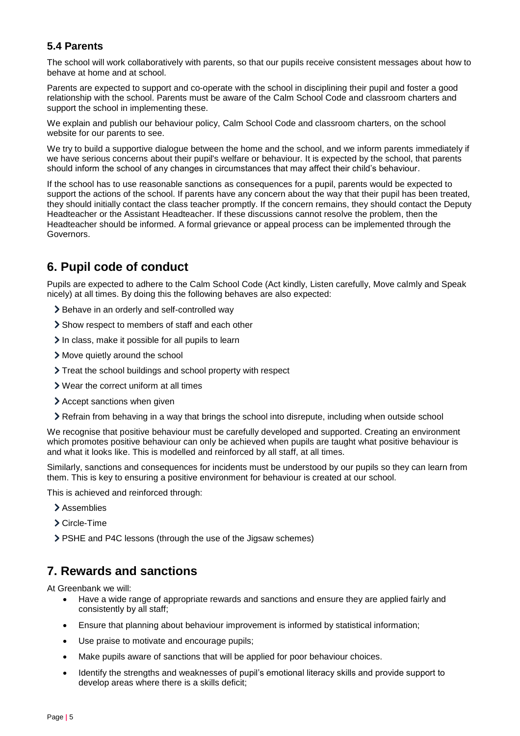### **5.4 Parents**

The school will work collaboratively with parents, so that our pupils receive consistent messages about how to behave at home and at school.

Parents are expected to support and co-operate with the school in disciplining their pupil and foster a good relationship with the school. Parents must be aware of the Calm School Code and classroom charters and support the school in implementing these.

We explain and publish our behaviour policy, Calm School Code and classroom charters, on the school website for our parents to see.

We try to build a supportive dialogue between the home and the school, and we inform parents immediately if we have serious concerns about their pupil's welfare or behaviour. It is expected by the school, that parents should inform the school of any changes in circumstances that may affect their child's behaviour.

If the school has to use reasonable sanctions as consequences for a pupil, parents would be expected to support the actions of the school. If parents have any concern about the way that their pupil has been treated, they should initially contact the class teacher promptly. If the concern remains, they should contact the Deputy Headteacher or the Assistant Headteacher. If these discussions cannot resolve the problem, then the Headteacher should be informed. A formal grievance or appeal process can be implemented through the Governors.

## **6. Pupil code of conduct**

Pupils are expected to adhere to the Calm School Code (Act kindly, Listen carefully, Move calmly and Speak nicely) at all times. By doing this the following behaves are also expected:

- > Behave in an orderly and self-controlled way
- Show respect to members of staff and each other
- $\geq$  In class, make it possible for all pupils to learn
- Move quietly around the school
- Treat the school buildings and school property with respect
- Wear the correct uniform at all times
- Accept sanctions when given
- Refrain from behaving in a way that brings the school into disrepute, including when outside school

We recognise that positive behaviour must be carefully developed and supported. Creating an environment which promotes positive behaviour can only be achieved when pupils are taught what positive behaviour is and what it looks like. This is modelled and reinforced by all staff, at all times.

Similarly, sanctions and consequences for incidents must be understood by our pupils so they can learn from them. This is key to ensuring a positive environment for behaviour is created at our school.

This is achieved and reinforced through:

- > Assemblies
- Circle-Time
- PSHE and P4C lessons (through the use of the Jigsaw schemes)

## **7. Rewards and sanctions**

At Greenbank we will:

- Have a wide range of appropriate rewards and sanctions and ensure they are applied fairly and consistently by all staff;
- Ensure that planning about behaviour improvement is informed by statistical information;
- Use praise to motivate and encourage pupils;
- Make pupils aware of sanctions that will be applied for poor behaviour choices.
- Identify the strengths and weaknesses of pupil's emotional literacy skills and provide support to develop areas where there is a skills deficit;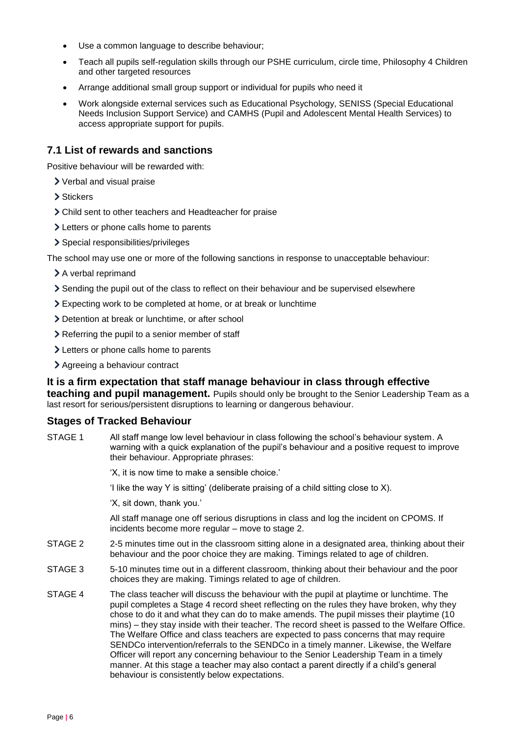- Use a common language to describe behaviour;
- Teach all pupils self-regulation skills through our PSHE curriculum, circle time, Philosophy 4 Children and other targeted resources
- Arrange additional small group support or individual for pupils who need it
- Work alongside external services such as Educational Psychology, SENISS (Special Educational Needs Inclusion Support Service) and CAMHS (Pupil and Adolescent Mental Health Services) to access appropriate support for pupils.

#### **7.1 List of rewards and sanctions**

Positive behaviour will be rewarded with:

- Verbal and visual praise
- > Stickers
- Child sent to other teachers and Headteacher for praise
- Letters or phone calls home to parents
- > Special responsibilities/privileges

The school may use one or more of the following sanctions in response to unacceptable behaviour:

- > A verbal reprimand
- Sending the pupil out of the class to reflect on their behaviour and be supervised elsewhere
- Expecting work to be completed at home, or at break or lunchtime
- Detention at break or lunchtime, or after school
- > Referring the pupil to a senior member of staff
- > Letters or phone calls home to parents
- Agreeing a behaviour contract

#### **It is a firm expectation that staff manage behaviour in class through effective teaching and pupil management.** Pupils should only be brought to the Senior Leadership Team as a

last resort for serious/persistent disruptions to learning or dangerous behaviour.

#### **Stages of Tracked Behaviour**

STAGE 1 All staff mange low level behaviour in class following the school's behaviour system. A warning with a quick explanation of the pupil's behaviour and a positive request to improve their behaviour. Appropriate phrases:

'X, it is now time to make a sensible choice.'

'I like the way Y is sitting' (deliberate praising of a child sitting close to X).

'X, sit down, thank you.'

All staff manage one off serious disruptions in class and log the incident on CPOMS. If incidents become more regular – move to stage 2.

- STAGE 2 2-5 minutes time out in the classroom sitting alone in a designated area, thinking about their behaviour and the poor choice they are making. Timings related to age of children.
- STAGE 3 5-10 minutes time out in a different classroom, thinking about their behaviour and the poor choices they are making. Timings related to age of children.
- STAGE 4 The class teacher will discuss the behaviour with the pupil at playtime or lunchtime. The pupil completes a Stage 4 record sheet reflecting on the rules they have broken, why they chose to do it and what they can do to make amends. The pupil misses their playtime (10 mins) – they stay inside with their teacher. The record sheet is passed to the Welfare Office. The Welfare Office and class teachers are expected to pass concerns that may require SENDCo intervention/referrals to the SENDCo in a timely manner. Likewise, the Welfare Officer will report any concerning behaviour to the Senior Leadership Team in a timely manner. At this stage a teacher may also contact a parent directly if a child's general behaviour is consistently below expectations.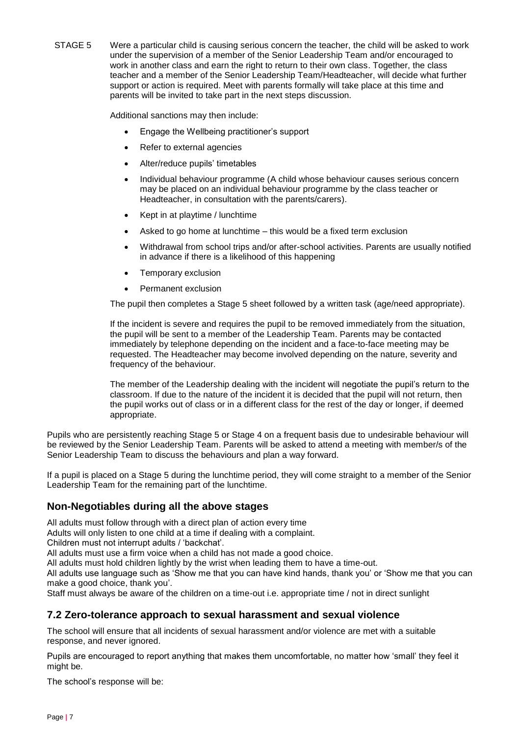STAGE 5 Were a particular child is causing serious concern the teacher, the child will be asked to work under the supervision of a member of the Senior Leadership Team and/or encouraged to work in another class and earn the right to return to their own class. Together, the class teacher and a member of the Senior Leadership Team/Headteacher, will decide what further support or action is required. Meet with parents formally will take place at this time and parents will be invited to take part in the next steps discussion.

Additional sanctions may then include:

- Engage the Wellbeing practitioner's support
- Refer to external agencies
- Alter/reduce pupils' timetables
- Individual behaviour programme (A child whose behaviour causes serious concern may be placed on an individual behaviour programme by the class teacher or Headteacher, in consultation with the parents/carers).
- Kept in at playtime / lunchtime
- Asked to go home at lunchtime this would be a fixed term exclusion
- Withdrawal from school trips and/or after-school activities. Parents are usually notified in advance if there is a likelihood of this happening
- Temporary exclusion
- Permanent exclusion

The pupil then completes a Stage 5 sheet followed by a written task (age/need appropriate).

If the incident is severe and requires the pupil to be removed immediately from the situation, the pupil will be sent to a member of the Leadership Team. Parents may be contacted immediately by telephone depending on the incident and a face-to-face meeting may be requested. The Headteacher may become involved depending on the nature, severity and frequency of the behaviour.

The member of the Leadership dealing with the incident will negotiate the pupil's return to the classroom. If due to the nature of the incident it is decided that the pupil will not return, then the pupil works out of class or in a different class for the rest of the day or longer, if deemed appropriate.

Pupils who are persistently reaching Stage 5 or Stage 4 on a frequent basis due to undesirable behaviour will be reviewed by the Senior Leadership Team. Parents will be asked to attend a meeting with member/s of the Senior Leadership Team to discuss the behaviours and plan a way forward.

If a pupil is placed on a Stage 5 during the lunchtime period, they will come straight to a member of the Senior Leadership Team for the remaining part of the lunchtime.

#### **Non-Negotiables during all the above stages**

All adults must follow through with a direct plan of action every time

Adults will only listen to one child at a time if dealing with a complaint.

Children must not interrupt adults / 'backchat'.

All adults must use a firm voice when a child has not made a good choice.

All adults must hold children lightly by the wrist when leading them to have a time-out.

All adults use language such as 'Show me that you can have kind hands, thank you' or 'Show me that you can make a good choice, thank you'.

Staff must always be aware of the children on a time-out i.e. appropriate time / not in direct sunlight

#### **7.2 Zero-tolerance approach to sexual harassment and sexual violence**

The school will ensure that all incidents of sexual harassment and/or violence are met with a suitable response, and never ignored.

Pupils are encouraged to report anything that makes them uncomfortable, no matter how 'small' they feel it might be.

The school's response will be: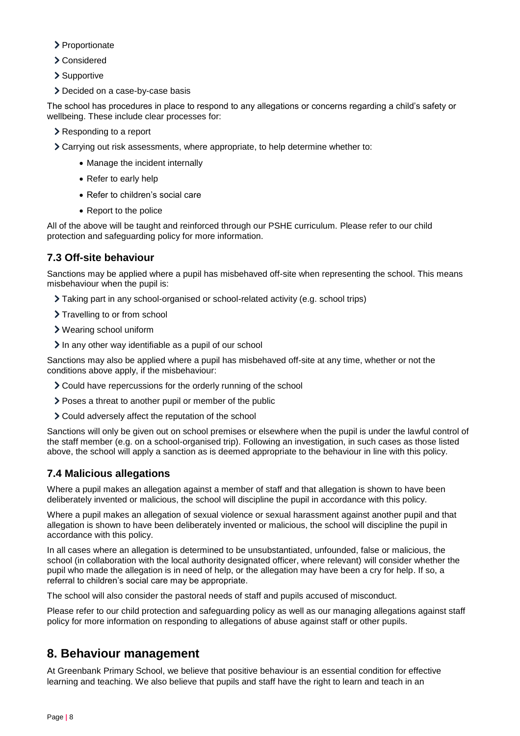- > Proportionate
- Considered
- > Supportive
- > Decided on a case-by-case basis

The school has procedures in place to respond to any allegations or concerns regarding a child's safety or wellbeing. These include clear processes for:

- Responding to a report
- Carrying out risk assessments, where appropriate, to help determine whether to:
	- Manage the incident internally
	- Refer to early help
	- Refer to children's social care
	- Report to the police

All of the above will be taught and reinforced through our PSHE curriculum. Please refer to our child protection and safeguarding policy for more information.

## **7.3 Off-site behaviour**

Sanctions may be applied where a pupil has misbehaved off-site when representing the school. This means misbehaviour when the pupil is:

- Taking part in any school-organised or school-related activity (e.g. school trips)
- > Travelling to or from school
- Wearing school uniform
- In any other way identifiable as a pupil of our school

Sanctions may also be applied where a pupil has misbehaved off-site at any time, whether or not the conditions above apply, if the misbehaviour:

- Could have repercussions for the orderly running of the school
- Poses a threat to another pupil or member of the public
- Could adversely affect the reputation of the school

Sanctions will only be given out on school premises or elsewhere when the pupil is under the lawful control of the staff member (e.g. on a school-organised trip). Following an investigation, in such cases as those listed above, the school will apply a sanction as is deemed appropriate to the behaviour in line with this policy.

## **7.4 Malicious allegations**

Where a pupil makes an allegation against a member of staff and that allegation is shown to have been deliberately invented or malicious, the school will discipline the pupil in accordance with this policy.

Where a pupil makes an allegation of sexual violence or sexual harassment against another pupil and that allegation is shown to have been deliberately invented or malicious, the school will discipline the pupil in accordance with this policy.

In all cases where an allegation is determined to be unsubstantiated, unfounded, false or malicious, the school (in collaboration with the local authority designated officer, where relevant) will consider whether the pupil who made the allegation is in need of help, or the allegation may have been a cry for help. If so, a referral to children's social care may be appropriate.

The school will also consider the pastoral needs of staff and pupils accused of misconduct.

Please refer to our child protection and safeguarding policy as well as our managing allegations against staff policy for more information on responding to allegations of abuse against staff or other pupils.

# **8. Behaviour management**

At Greenbank Primary School, we believe that positive behaviour is an essential condition for effective learning and teaching. We also believe that pupils and staff have the right to learn and teach in an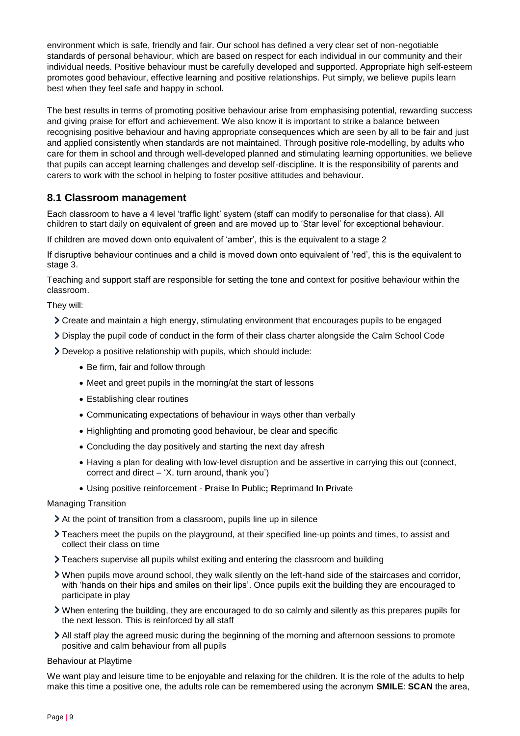environment which is safe, friendly and fair. Our school has defined a very clear set of non-negotiable standards of personal behaviour, which are based on respect for each individual in our community and their individual needs. Positive behaviour must be carefully developed and supported. Appropriate high self-esteem promotes good behaviour, effective learning and positive relationships. Put simply, we believe pupils learn best when they feel safe and happy in school.

The best results in terms of promoting positive behaviour arise from emphasising potential, rewarding success and giving praise for effort and achievement. We also know it is important to strike a balance between recognising positive behaviour and having appropriate consequences which are seen by all to be fair and just and applied consistently when standards are not maintained. Through positive role-modelling, by adults who care for them in school and through well-developed planned and stimulating learning opportunities, we believe that pupils can accept learning challenges and develop self-discipline. It is the responsibility of parents and carers to work with the school in helping to foster positive attitudes and behaviour.

#### **8.1 Classroom management**

Each classroom to have a 4 level 'traffic light' system (staff can modify to personalise for that class). All children to start daily on equivalent of green and are moved up to 'Star level' for exceptional behaviour.

If children are moved down onto equivalent of 'amber', this is the equivalent to a stage 2

If disruptive behaviour continues and a child is moved down onto equivalent of 'red', this is the equivalent to stage 3.

Teaching and support staff are responsible for setting the tone and context for positive behaviour within the classroom.

They will:

- Create and maintain a high energy, stimulating environment that encourages pupils to be engaged
- Display the pupil code of conduct in the form of their class charter alongside the Calm School Code

Develop a positive relationship with pupils, which should include:

- Be firm, fair and follow through
- Meet and greet pupils in the morning/at the start of lessons
- Establishing clear routines
- Communicating expectations of behaviour in ways other than verbally
- Highlighting and promoting good behaviour, be clear and specific
- Concluding the day positively and starting the next day afresh
- Having a plan for dealing with low-level disruption and be assertive in carrying this out (connect, correct and direct  $-$  'X, turn around, thank you')
- Using positive reinforcement **P**raise **I**n **P**ublic**; R**eprimand **I**n **P**rivate

Managing Transition

- At the point of transition from a classroom, pupils line up in silence
- Teachers meet the pupils on the playground, at their specified line-up points and times, to assist and collect their class on time
- Teachers supervise all pupils whilst exiting and entering the classroom and building
- When pupils move around school, they walk silently on the left-hand side of the staircases and corridor, with 'hands on their hips and smiles on their lips'. Once pupils exit the building they are encouraged to participate in play
- When entering the building, they are encouraged to do so calmly and silently as this prepares pupils for the next lesson. This is reinforced by all staff
- All staff play the agreed music during the beginning of the morning and afternoon sessions to promote positive and calm behaviour from all pupils

Behaviour at Playtime

We want play and leisure time to be enjoyable and relaxing for the children. It is the role of the adults to help make this time a positive one, the adults role can be remembered using the acronym **SMILE**: **SCAN** the area,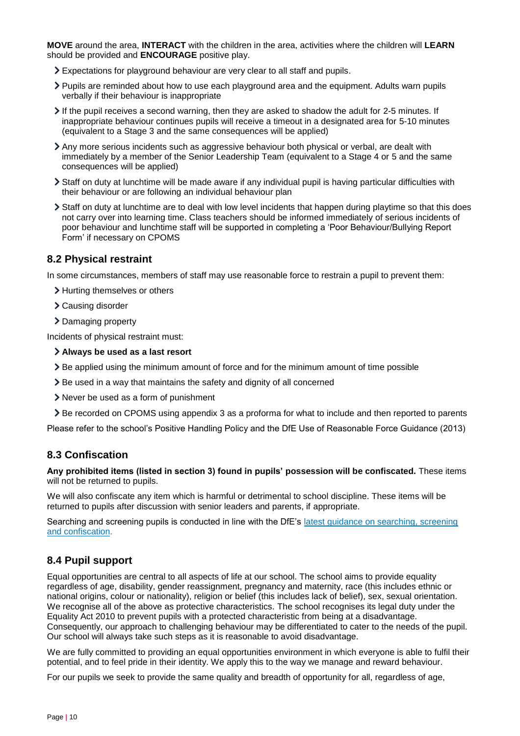**MOVE** around the area, **INTERACT** with the children in the area, activities where the children will **LEARN** should be provided and **ENCOURAGE** positive play.

- Expectations for playground behaviour are very clear to all staff and pupils.
- Pupils are reminded about how to use each playground area and the equipment. Adults warn pupils verbally if their behaviour is inappropriate
- $\geq$  If the pupil receives a second warning, then they are asked to shadow the adult for 2-5 minutes. If inappropriate behaviour continues pupils will receive a timeout in a designated area for 5-10 minutes (equivalent to a Stage 3 and the same consequences will be applied)
- Any more serious incidents such as aggressive behaviour both physical or verbal, are dealt with immediately by a member of the Senior Leadership Team (equivalent to a Stage 4 or 5 and the same consequences will be applied)
- Staff on duty at lunchtime will be made aware if any individual pupil is having particular difficulties with their behaviour or are following an individual behaviour plan
- Staff on duty at lunchtime are to deal with low level incidents that happen during playtime so that this does not carry over into learning time. Class teachers should be informed immediately of serious incidents of poor behaviour and lunchtime staff will be supported in completing a 'Poor Behaviour/Bullying Report Form' if necessary on CPOMS

#### **8.2 Physical restraint**

In some circumstances, members of staff may use reasonable force to restrain a pupil to prevent them:

- > Hurting themselves or others
- Causing disorder
- > Damaging property

Incidents of physical restraint must:

#### **Always be used as a last resort**

- Be applied using the minimum amount of force and for the minimum amount of time possible
- Be used in a way that maintains the safety and dignity of all concerned
- Never be used as a form of punishment
- Be recorded on CPOMS using appendix 3 as a proforma for what to include and then reported to parents

Please refer to the school's Positive Handling Policy and the DfE Use of Reasonable Force Guidance (2013)

#### **8.3 Confiscation**

**Any prohibited items (listed in section 3) found in pupils' possession will be confiscated.** These items will not be returned to pupils.

We will also confiscate any item which is harmful or detrimental to school discipline. These items will be returned to pupils after discussion with senior leaders and parents, if appropriate.

Searching and screening pupils is conducted in line with the DfE's [latest guidance on searching, screening](https://www.gov.uk/government/publications/searching-screening-and-confiscation)  [and confiscation.](https://www.gov.uk/government/publications/searching-screening-and-confiscation)

#### **8.4 Pupil support**

Equal opportunities are central to all aspects of life at our school. The school aims to provide equality regardless of age, disability, gender reassignment, pregnancy and maternity, race (this includes ethnic or national origins, colour or nationality), religion or belief (this includes lack of belief), sex, sexual orientation. We recognise all of the above as protective characteristics. The school recognises its legal duty under the Equality Act 2010 to prevent pupils with a protected characteristic from being at a disadvantage. Consequently, our approach to challenging behaviour may be differentiated to cater to the needs of the pupil. Our school will always take such steps as it is reasonable to avoid disadvantage.

We are fully committed to providing an equal opportunities environment in which everyone is able to fulfil their potential, and to feel pride in their identity. We apply this to the way we manage and reward behaviour.

For our pupils we seek to provide the same quality and breadth of opportunity for all, regardless of age,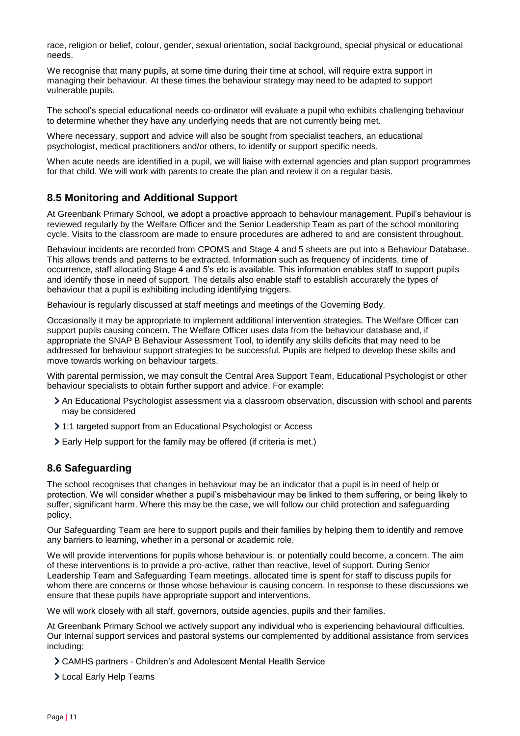race, religion or belief, colour, gender, sexual orientation, social background, special physical or educational needs.

We recognise that many pupils, at some time during their time at school, will require extra support in managing their behaviour. At these times the behaviour strategy may need to be adapted to support vulnerable pupils.

The school's special educational needs co-ordinator will evaluate a pupil who exhibits challenging behaviour to determine whether they have any underlying needs that are not currently being met.

Where necessary, support and advice will also be sought from specialist teachers, an educational psychologist, medical practitioners and/or others, to identify or support specific needs.

When acute needs are identified in a pupil, we will liaise with external agencies and plan support programmes for that child. We will work with parents to create the plan and review it on a regular basis.

#### **8.5 Monitoring and Additional Support**

At Greenbank Primary School, we adopt a proactive approach to behaviour management. Pupil's behaviour is reviewed regularly by the Welfare Officer and the Senior Leadership Team as part of the school monitoring cycle. Visits to the classroom are made to ensure procedures are adhered to and are consistent throughout.

Behaviour incidents are recorded from CPOMS and Stage 4 and 5 sheets are put into a Behaviour Database. This allows trends and patterns to be extracted. Information such as frequency of incidents, time of occurrence, staff allocating Stage 4 and 5's etc is available. This information enables staff to support pupils and identify those in need of support. The details also enable staff to establish accurately the types of behaviour that a pupil is exhibiting including identifying triggers.

Behaviour is regularly discussed at staff meetings and meetings of the Governing Body.

Occasionally it may be appropriate to implement additional intervention strategies. The Welfare Officer can support pupils causing concern. The Welfare Officer uses data from the behaviour database and, if appropriate the SNAP B Behaviour Assessment Tool, to identify any skills deficits that may need to be addressed for behaviour support strategies to be successful. Pupils are helped to develop these skills and move towards working on behaviour targets.

With parental permission, we may consult the Central Area Support Team, Educational Psychologist or other behaviour specialists to obtain further support and advice. For example:

- An Educational Psychologist assessment via a classroom observation, discussion with school and parents may be considered
- 1:1 targeted support from an Educational Psychologist or Access
- Early Help support for the family may be offered (if criteria is met.)

#### **8.6 Safeguarding**

The school recognises that changes in behaviour may be an indicator that a pupil is in need of help or protection. We will consider whether a pupil's misbehaviour may be linked to them suffering, or being likely to suffer, significant harm. Where this may be the case, we will follow our child protection and safeguarding policy.

Our Safeguarding Team are here to support pupils and their families by helping them to identify and remove any barriers to learning, whether in a personal or academic role.

We will provide interventions for pupils whose behaviour is, or potentially could become, a concern. The aim of these interventions is to provide a pro-active, rather than reactive, level of support. During Senior Leadership Team and Safeguarding Team meetings, allocated time is spent for staff to discuss pupils for whom there are concerns or those whose behaviour is causing concern. In response to these discussions we ensure that these pupils have appropriate support and interventions.

We will work closely with all staff, governors, outside agencies, pupils and their families.

At Greenbank Primary School we actively support any individual who is experiencing behavioural difficulties. Our Internal support services and pastoral systems our complemented by additional assistance from services including:

CAMHS partners - Children's and Adolescent Mental Health Service

Local Early Help Teams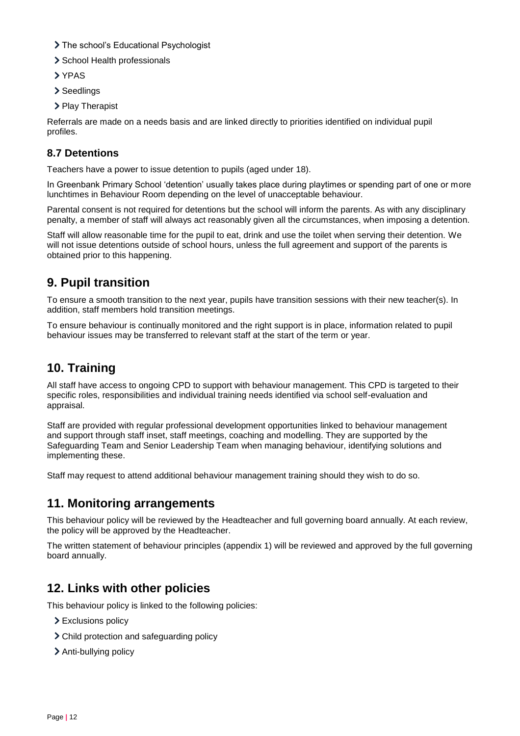- > The school's Educational Psychologist
- > School Health professionals
- > YPAS
- > Seedlings
- > Play Therapist

Referrals are made on a needs basis and are linked directly to priorities identified on individual pupil profiles.

#### **8.7 Detentions**

Teachers have a power to issue detention to pupils (aged under 18).

In Greenbank Primary School 'detention' usually takes place during playtimes or spending part of one or more lunchtimes in Behaviour Room depending on the level of unacceptable behaviour.

Parental consent is not required for detentions but the school will inform the parents. As with any disciplinary penalty, a member of staff will always act reasonably given all the circumstances, when imposing a detention.

Staff will allow reasonable time for the pupil to eat, drink and use the toilet when serving their detention. We will not issue detentions outside of school hours, unless the full agreement and support of the parents is obtained prior to this happening.

# **9. Pupil transition**

To ensure a smooth transition to the next year, pupils have transition sessions with their new teacher(s). In addition, staff members hold transition meetings.

To ensure behaviour is continually monitored and the right support is in place, information related to pupil behaviour issues may be transferred to relevant staff at the start of the term or year.

# **10. Training**

All staff have access to ongoing CPD to support with behaviour management. This CPD is targeted to their specific roles, responsibilities and individual training needs identified via school self-evaluation and appraisal.

Staff are provided with regular professional development opportunities linked to behaviour management and support through staff inset, staff meetings, coaching and modelling. They are supported by the Safeguarding Team and Senior Leadership Team when managing behaviour, identifying solutions and implementing these.

Staff may request to attend additional behaviour management training should they wish to do so.

## **11. Monitoring arrangements**

This behaviour policy will be reviewed by the Headteacher and full governing board annually. At each review, the policy will be approved by the Headteacher.

The written statement of behaviour principles (appendix 1) will be reviewed and approved by the full governing board annually.

## **12. Links with other policies**

This behaviour policy is linked to the following policies:

- > Exclusions policy
- Child protection and safeguarding policy
- > Anti-bullying policy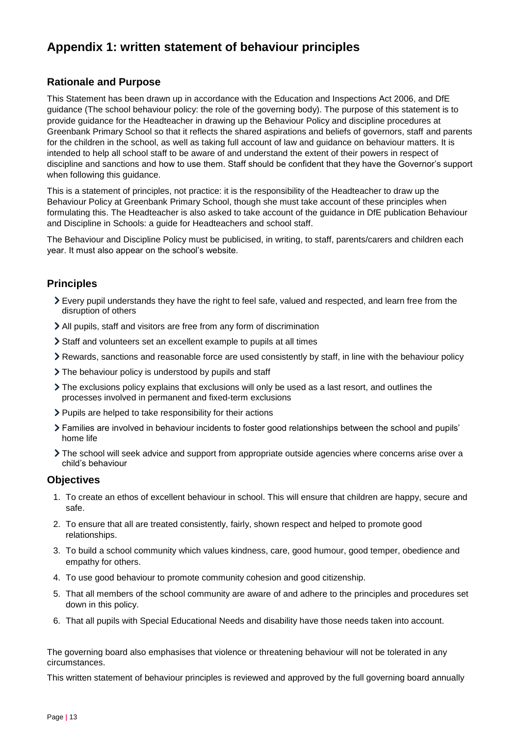# **Appendix 1: written statement of behaviour principles**

#### **Rationale and Purpose**

This Statement has been drawn up in accordance with the Education and Inspections Act 2006, and DfE guidance (The school behaviour policy: the role of the governing body). The purpose of this statement is to provide guidance for the Headteacher in drawing up the Behaviour Policy and discipline procedures at Greenbank Primary School so that it reflects the shared aspirations and beliefs of governors, staff and parents for the children in the school, as well as taking full account of law and guidance on behaviour matters. It is intended to help all school staff to be aware of and understand the extent of their powers in respect of discipline and sanctions and how to use them. Staff should be confident that they have the Governor's support when following this guidance.

This is a statement of principles, not practice: it is the responsibility of the Headteacher to draw up the Behaviour Policy at Greenbank Primary School, though she must take account of these principles when formulating this. The Headteacher is also asked to take account of the guidance in DfE publication Behaviour and Discipline in Schools: a guide for Headteachers and school staff.

The Behaviour and Discipline Policy must be publicised, in writing, to staff, parents/carers and children each year. It must also appear on the school's website.

#### **Principles**

- Every pupil understands they have the right to feel safe, valued and respected, and learn free from the disruption of others
- All pupils, staff and visitors are free from any form of discrimination
- Staff and volunteers set an excellent example to pupils at all times
- Rewards, sanctions and reasonable force are used consistently by staff, in line with the behaviour policy
- If The behaviour policy is understood by pupils and staff
- The exclusions policy explains that exclusions will only be used as a last resort, and outlines the processes involved in permanent and fixed-term exclusions
- $\triangleright$  Pupils are helped to take responsibility for their actions
- Families are involved in behaviour incidents to foster good relationships between the school and pupils' home life
- The school will seek advice and support from appropriate outside agencies where concerns arise over a child's behaviour

#### **Objectives**

- 1. To create an ethos of excellent behaviour in school. This will ensure that children are happy, secure and safe.
- 2. To ensure that all are treated consistently, fairly, shown respect and helped to promote good relationships.
- 3. To build a school community which values kindness, care, good humour, good temper, obedience and empathy for others.
- 4. To use good behaviour to promote community cohesion and good citizenship.
- 5. That all members of the school community are aware of and adhere to the principles and procedures set down in this policy.
- 6. That all pupils with Special Educational Needs and disability have those needs taken into account.

The governing board also emphasises that violence or threatening behaviour will not be tolerated in any circumstances.

This written statement of behaviour principles is reviewed and approved by the full governing board annually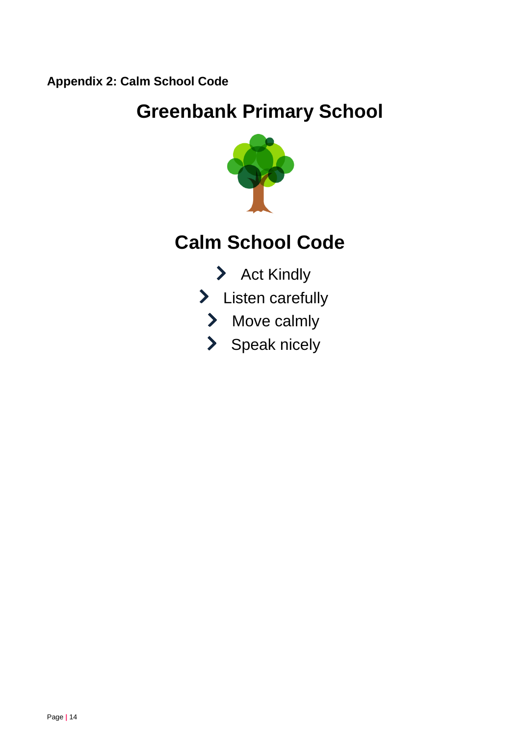**Appendix 2: Calm School Code**

# **Greenbank Primary School**



# **Calm School Code**

- > Act Kindly
- > Listen carefully
	- > Move calmly
	- > Speak nicely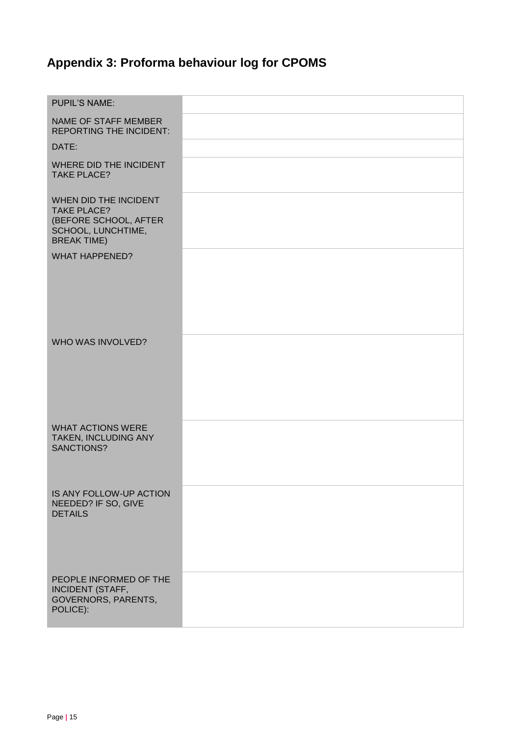# **Appendix 3: Proforma behaviour log for CPOMS**

| <b>PUPIL'S NAME:</b>                                                                                             |  |
|------------------------------------------------------------------------------------------------------------------|--|
| <b>NAME OF STAFF MEMBER</b><br><b>REPORTING THE INCIDENT:</b>                                                    |  |
| DATE:                                                                                                            |  |
| WHERE DID THE INCIDENT<br><b>TAKE PLACE?</b>                                                                     |  |
| WHEN DID THE INCIDENT<br><b>TAKE PLACE?</b><br>(BEFORE SCHOOL, AFTER<br>SCHOOL, LUNCHTIME,<br><b>BREAK TIME)</b> |  |
| <b>WHAT HAPPENED?</b>                                                                                            |  |
| WHO WAS INVOLVED?                                                                                                |  |
| <b>WHAT ACTIONS WERE</b><br>TAKEN, INCLUDING ANY<br>SANCTIONS?                                                   |  |
| IS ANY FOLLOW-UP ACTION<br>NEEDED? IF SO, GIVE<br><b>DETAILS</b>                                                 |  |
| PEOPLE INFORMED OF THE<br><b>INCIDENT (STAFF,</b><br><b>GOVERNORS, PARENTS,</b><br>POLICE):                      |  |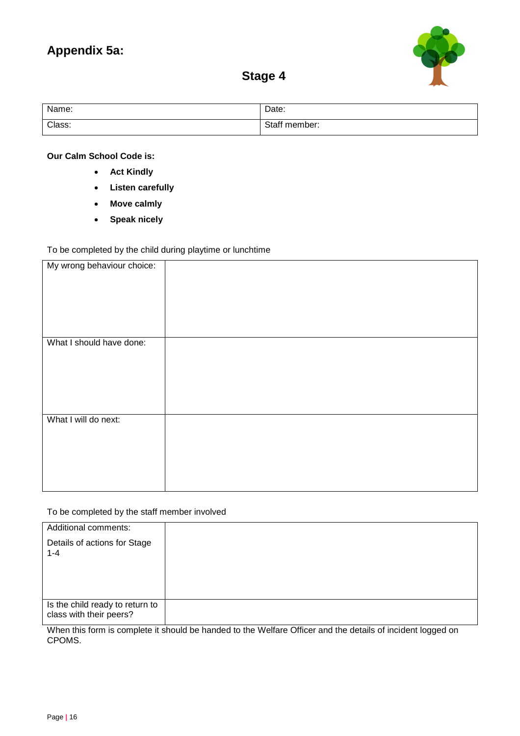## **Appendix 5a:**



# **Stage 4**

| Name:  | Date:         |
|--------|---------------|
| Class: | Staff member: |

**Our Calm School Code is:**

- **Act Kindly**
- **Listen carefully**
- **Move calmly**
- **Speak nicely**

#### To be completed by the child during playtime or lunchtime

| My wrong behaviour choice: |  |
|----------------------------|--|
|                            |  |
|                            |  |
|                            |  |
|                            |  |
|                            |  |
|                            |  |
|                            |  |
|                            |  |
|                            |  |
|                            |  |
|                            |  |
|                            |  |
|                            |  |
| What I should have done:   |  |
|                            |  |
|                            |  |
|                            |  |
|                            |  |
|                            |  |
|                            |  |
|                            |  |
|                            |  |
|                            |  |
|                            |  |
|                            |  |
|                            |  |
| What I will do next:       |  |
|                            |  |
|                            |  |
|                            |  |
|                            |  |
|                            |  |
|                            |  |
|                            |  |
|                            |  |
|                            |  |
|                            |  |
|                            |  |
|                            |  |

#### To be completed by the staff member involved

| Additional comments:                                       |  |
|------------------------------------------------------------|--|
| Details of actions for Stage<br>$1 - 4$                    |  |
|                                                            |  |
| Is the child ready to return to<br>class with their peers? |  |

When this form is complete it should be handed to the Welfare Officer and the details of incident logged on CPOMS.